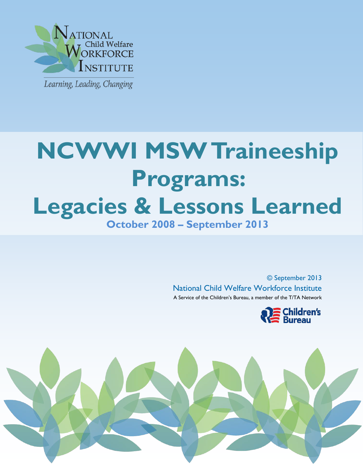

j

# Ì **NCWWI MSW Traineeship Programs: Legacies & Lessons Learned October 2008 – September 2013**

© September 2013 National Child Welfare Workforce Institute A Service of the Children's Bureau, a member of the T/TA Network



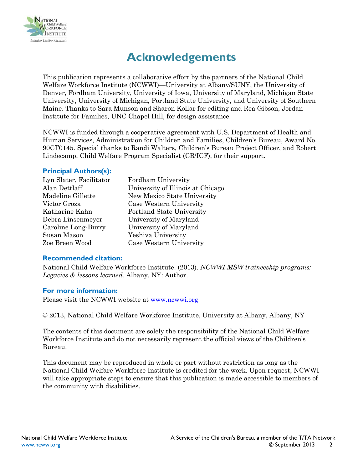

# **Acknowledgements**

This publication represents a collaborative effort by the partners of the National Child Welfare Workforce Institute (NCWWI)—University at Albany/SUNY, the University of Denver, Fordham University, University of Iowa, University of Maryland, Michigan State University, University of Michigan, Portland State University, and University of Southern Maine. Thanks to Sara Munson and Sharon Kollar for editing and Rea Gibson, Jordan Institute for Families, UNC Chapel Hill, for design assistance.

NCWWI is funded through a cooperative agreement with U.S. Department of Health and Human Services, Administration for Children and Families, Children's Bureau, Award No. 90CT0145. Special thanks to Randi Walters, Children's Bureau Project Officer, and Robert Lindecamp, Child Welfare Program Specialist (CB/ICF), for their support.

#### **Principal Authors(s):**

| Lyn Slater, Facilitator | Fordham University                |
|-------------------------|-----------------------------------|
| Alan Dettlaff           | University of Illinois at Chicago |
| Madeline Gillette       | New Mexico State University       |
| Victor Groza            | Case Western University           |
| Katharine Kahn          | Portland State University         |
| Debra Linsenmeyer       | University of Maryland            |
| Caroline Long-Burry     | University of Maryland            |
| Susan Mason             | Yeshiva University                |
| Zoe Breen Wood          | Case Western University           |
|                         |                                   |

#### **Recommended citation:**

National Child Welfare Workforce Institute. (2013). *NCWWI MSW traineeship programs: Legacies & lessons learned.* Albany, NY: Author.

#### **For more information:**

Please visit the NCWWI website at [www.ncwwi.org](http://www.ncwwi.org/)

© 2013, National Child Welfare Workforce Institute, University at Albany, Albany, NY

The contents of this document are solely the responsibility of the National Child Welfare Workforce Institute and do not necessarily represent the official views of the Children's Bureau.

This document may be reproduced in whole or part without restriction as long as the National Child Welfare Workforce Institute is credited for the work. Upon request, NCWWI will take appropriate steps to ensure that this publication is made accessible to members of the community with disabilities.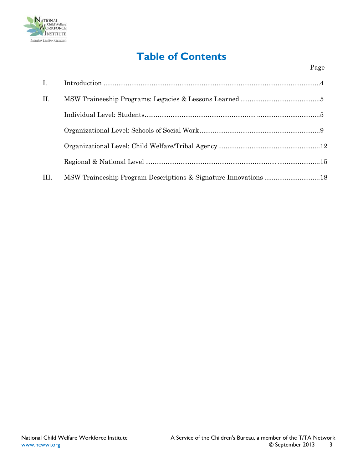

# **Table of Contents**

| $\mathbf{I}$ . |                                                                 |  |
|----------------|-----------------------------------------------------------------|--|
| II.            |                                                                 |  |
|                |                                                                 |  |
|                |                                                                 |  |
|                |                                                                 |  |
|                |                                                                 |  |
| III.           | MSW Traineeship Program Descriptions & Signature Innovations 18 |  |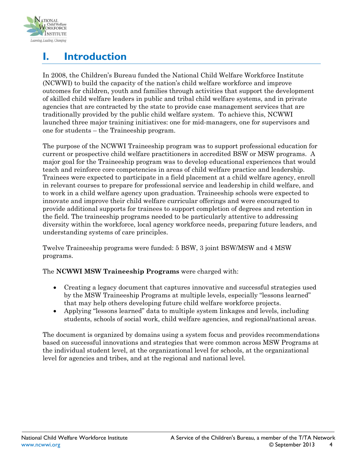

# **I. Introduction**

In 2008, the Children's Bureau funded the National Child Welfare Workforce Institute (NCWWI) to build the capacity of the nation's child welfare workforce and improve outcomes for children, youth and families through activities that support the development of skilled child welfare leaders in public and tribal child welfare systems, and in private agencies that are contracted by the state to provide case management services that are traditionally provided by the public child welfare system. To achieve this, NCWWI launched three major training initiatives: one for mid-managers, one for supervisors and one for students – the Traineeship program.

The purpose of the NCWWI Traineeship program was to support professional education for current or prospective child welfare practitioners in accredited BSW or MSW programs. A major goal for the Traineeship program was to develop educational experiences that would teach and reinforce core competencies in areas of child welfare practice and leadership. Trainees were expected to participate in a field placement at a child welfare agency, enroll in relevant courses to prepare for professional service and leadership in child welfare, and to work in a child welfare agency upon graduation. Traineeship schools were expected to innovate and improve their child welfare curricular offerings and were encouraged to provide additional supports for trainees to support completion of degrees and retention in the field. The traineeship programs needed to be particularly attentive to addressing diversity within the workforce, local agency workforce needs, preparing future leaders, and understanding systems of care principles.

Twelve Traineeship programs were funded: 5 BSW, 3 joint BSW/MSW and 4 MSW programs.

#### The **NCWWI MSW Traineeship Programs** were charged with:

- Creating a legacy document that captures innovative and successful strategies used by the MSW Traineeship Programs at multiple levels, especially "lessons learned" that may help others developing future child welfare workforce projects.
- Applying "lessons learned" data to multiple system linkages and levels, including students, schools of social work, child welfare agencies, and regional/national areas.

The document is organized by domains using a system focus and provides recommendations based on successful innovations and strategies that were common across MSW Programs at the individual student level, at the organizational level for schools, at the organizational level for agencies and tribes, and at the regional and national level.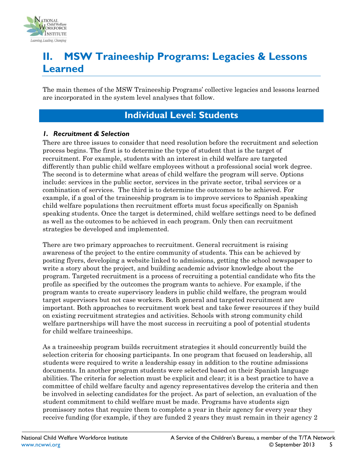

# **II. MSW Traineeship Programs: Legacies & Lessons Learned**

The main themes of the MSW Traineeship Programs' collective legacies and lessons learned are incorporated in the system level analyses that follow.

### **Individual Level: Students**

#### *1. Recruitment & Selection*

There are three issues to consider that need resolution before the recruitment and selection process begins. The first is to determine the type of student that is the target of recruitment. For example, students with an interest in child welfare are targeted differently than public child welfare employees without a professional social work degree. The second is to determine what areas of child welfare the program will serve. Options include: services in the public sector, services in the private sector, tribal services or a combination of services. The third is to determine the outcomes to be achieved. For example, if a goal of the traineeship program is to improve services to Spanish speaking child welfare populations then recruitment efforts must focus specifically on Spanish speaking students. Once the target is determined, child welfare settings need to be defined as well as the outcomes to be achieved in each program. Only then can recruitment strategies be developed and implemented.

There are two primary approaches to recruitment. General recruitment is raising awareness of the project to the entire community of students. This can be achieved by posting flyers, developing a website linked to admissions, getting the school newspaper to write a story about the project, and building academic advisor knowledge about the program. Targeted recruitment is a process of recruiting a potential candidate who fits the profile as specified by the outcomes the program wants to achieve. For example, if the program wants to create supervisory leaders in public child welfare, the program would target supervisors but not case workers. Both general and targeted recruitment are important. Both approaches to recruitment work best and take fewer resources if they build on existing recruitment strategies and activities. Schools with strong community child welfare partnerships will have the most success in recruiting a pool of potential students for child welfare traineeships.

As a traineeship program builds recruitment strategies it should concurrently build the selection criteria for choosing participants. In one program that focused on leadership, all students were required to write a leadership essay in addition to the routine admissions documents. In another program students were selected based on their Spanish language abilities. The criteria for selection must be explicit and clear; it is a best practice to have a committee of child welfare faculty and agency representatives develop the criteria and then be involved in selecting candidates for the project. As part of selection, an evaluation of the student commitment to child welfare must be made. Programs have students sign promissory notes that require them to complete a year in their agency for every year they receive funding (for example, if they are funded 2 years they must remain in their agency 2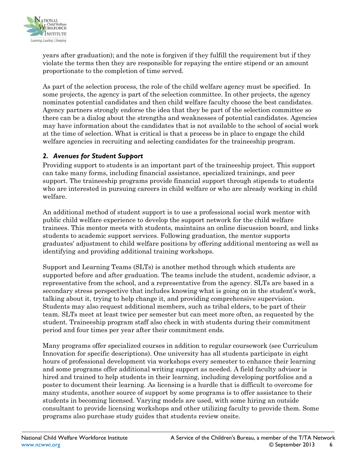

years after graduation); and the note is forgiven if they fulfill the requirement but if they violate the terms then they are responsible for repaying the entire stipend or an amount proportionate to the completion of time served.

As part of the selection process, the role of the child welfare agency must be specified. In some projects, the agency is part of the selection committee. In other projects, the agency nominates potential candidates and then child welfare faculty choose the best candidates. Agency partners strongly endorse the idea that they be part of the selection committee so there can be a dialog about the strengths and weaknesses of potential candidates. Agencies may have information about the candidates that is not available to the school of social work at the time of selection. What is critical is that a process be in place to engage the child welfare agencies in recruiting and selecting candidates for the traineeship program.

#### *2. Avenues for Student Support*

Providing support to students is an important part of the traineeship project. This support can take many forms, including financial assistance, specialized trainings, and peer support. The traineeship programs provide financial support through stipends to students who are interested in pursuing careers in child welfare or who are already working in child welfare.

An additional method of student support is to use a professional social work mentor with public child welfare experience to develop the support network for the child welfare trainees. This mentor meets with students, maintains an online discussion board, and links students to academic support services. Following graduation, the mentor supports graduates' adjustment to child welfare positions by offering additional mentoring as well as identifying and providing additional training workshops.

Support and Learning Teams (SLTs) is another method through which students are supported before and after graduation. The teams include the student, academic advisor, a representative from the school, and a representative from the agency. SLTs are based in a secondary stress perspective that includes knowing what is going on in the student's work, talking about it, trying to help change it, and providing comprehensive supervision. Students may also request additional members, such as tribal elders, to be part of their team. SLTs meet at least twice per semester but can meet more often, as requested by the student. Traineeship program staff also check in with students during their commitment period and four times per year after their commitment ends.

Many programs offer specialized courses in addition to regular coursework (see Curriculum Innovation for specific descriptions). One university has all students participate in eight hours of professional development via workshops every semester to enhance their learning and some programs offer additional writing support as needed. A field faculty advisor is hired and trained to help students in their learning, including developing portfolios and a poster to document their learning. As licensing is a hurdle that is difficult to overcome for many students, another source of support by some programs is to offer assistance to their students in becoming licensed. Varying models are used, with some hiring an outside consultant to provide licensing workshops and other utilizing faculty to provide them. Some programs also purchase study guides that students review onsite.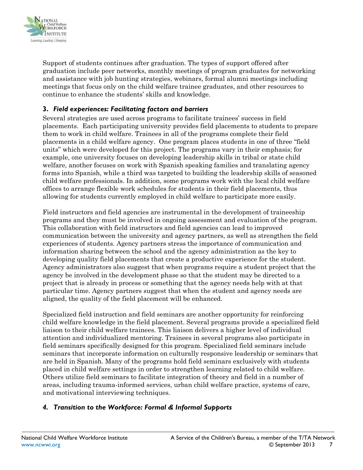

Support of students continues after graduation. The types of support offered after graduation include peer networks, monthly meetings of program graduates for networking and assistance with job hunting strategies, webinars, formal alumni meetings including meetings that focus only on the child welfare trainee graduates, and other resources to continue to enhance the students' skills and knowledge.

#### **3.** *Field experiences: Facilitating factors and barriers*

Several strategies are used across programs to facilitate trainees' success in field placements. Each participating university provides field placements to students to prepare them to work in child welfare. Trainees in all of the programs complete their field placements in a child welfare agency. One program places students in one of three "field units" which were developed for this project. The programs vary in their emphasis; for example, one university focuses on developing leadership skills in tribal or state child welfare, another focuses on work with Spanish speaking families and translating agency forms into Spanish, while a third was targeted to building the leadership skills of seasoned child welfare professionals. In addition, some programs work with the local child welfare offices to arrange flexible work schedules for students in their field placements, thus allowing for students currently employed in child welfare to participate more easily.

Field instructors and field agencies are instrumental in the development of traineeship programs and they must be involved in ongoing assessment and evaluation of the program. This collaboration with field instructors and field agencies can lead to improved communication between the university and agency partners, as well as strengthen the field experiences of students. Agency partners stress the importance of communication and information sharing between the school and the agency administration as the key to developing quality field placements that create a productive experience for the student. Agency administrators also suggest that when programs require a student project that the agency be involved in the development phase so that the student may be directed to a project that is already in process or something that the agency needs help with at that particular time. Agency partners suggest that when the student and agency needs are aligned, the quality of the field placement will be enhanced.

Specialized field instruction and field seminars are another opportunity for reinforcing child welfare knowledge in the field placement. Several programs provide a specialized field liaison to their child welfare trainees. This liaison delivers a higher level of individual attention and individualized mentoring. Trainees in several programs also participate in field seminars specifically designed for this program. Specialized field seminars include seminars that incorporate information on culturally responsive leadership or seminars that are held in Spanish. Many of the programs hold field seminars exclusively with students placed in child welfare settings in order to strengthen learning related to child welfare. Others utilize field seminars to facilitate integration of theory and field in a number of areas, including trauma-informed services, urban child welfare practice, systems of care, and motivational interviewing techniques.

#### *4. Transition to the Workforce: Formal & Informal Supports*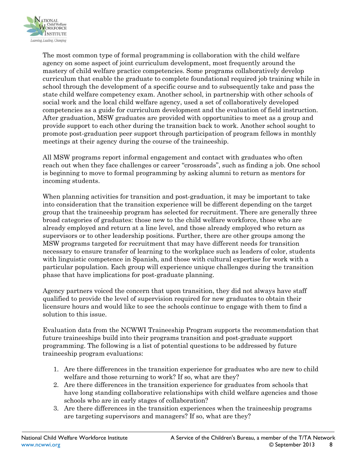

The most common type of formal programming is collaboration with the child welfare agency on some aspect of joint curriculum development, most frequently around the mastery of child welfare practice competencies. Some programs collaboratively develop curriculum that enable the graduate to complete foundational required job training while in school through the development of a specific course and to subsequently take and pass the state child welfare competency exam. Another school, in partnership with other schools of social work and the local child welfare agency, used a set of collaboratively developed competencies as a guide for curriculum development and the evaluation of field instruction. After graduation, MSW graduates are provided with opportunities to meet as a group and provide support to each other during the transition back to work. Another school sought to promote post-graduation peer support through participation of program fellows in monthly meetings at their agency during the course of the traineeship.

All MSW programs report informal engagement and contact with graduates who often reach out when they face challenges or career "crossroads", such as finding a job. One school is beginning to move to formal programming by asking alumni to return as mentors for incoming students.

When planning activities for transition and post-graduation, it may be important to take into consideration that the transition experience will be different depending on the target group that the traineeship program has selected for recruitment. There are generally three broad categories of graduates: those new to the child welfare workforce, those who are already employed and return at a line level, and those already employed who return as supervisors or to other leadership positions. Further, there are other groups among the MSW programs targeted for recruitment that may have different needs for transition necessary to ensure transfer of learning to the workplace such as leaders of color, students with linguistic competence in Spanish, and those with cultural expertise for work with a particular population. Each group will experience unique challenges during the transition phase that have implications for post-graduate planning.

Agency partners voiced the concern that upon transition, they did not always have staff qualified to provide the level of supervision required for new graduates to obtain their licensure hours and would like to see the schools continue to engage with them to find a solution to this issue.

Evaluation data from the NCWWI Traineeship Program supports the recommendation that future traineeships build into their programs transition and post-graduate support programming. The following is a list of potential questions to be addressed by future traineeship program evaluations:

- 1. Are there differences in the transition experience for graduates who are new to child welfare and those returning to work? If so, what are they?
- 2. Are there differences in the transition experience for graduates from schools that have long standing collaborative relationships with child welfare agencies and those schools who are in early stages of collaboration?
- 3. Are there differences in the transition experiences when the traineeship programs are targeting supervisors and managers? If so, what are they?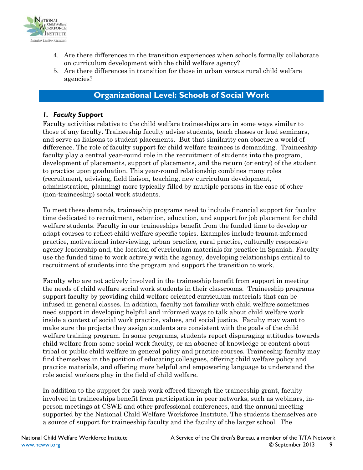

- 4. Are there differences in the transition experiences when schools formally collaborate on curriculum development with the child welfare agency?
- 5. Are there differences in transition for those in urban versus rural child welfare agencies?

#### **Organizational Level: Schools of Social Work**

#### *1. Faculty Support*

Faculty activities relative to the child welfare traineeships are in some ways similar to those of any faculty. Traineeship faculty advise students, teach classes or lead seminars, and serve as liaisons to student placements. But that similarity can obscure a world of difference. The role of faculty support for child welfare trainees is demanding. Traineeship faculty play a central year-round role in the recruitment of students into the program, development of placements, support of placements, and the return (or entry) of the student to practice upon graduation. This year-round relationship combines many roles (recruitment, advising, field liaison, teaching, new curriculum development, administration, planning) more typically filled by multiple persons in the case of other (non-traineeship) social work students.

To meet these demands, traineeship programs need to include financial support for faculty time dedicated to recruitment, retention, education, and support for job placement for child welfare students. Faculty in our traineeships benefit from the funded time to develop or adapt courses to reflect child welfare specific topics. Examples include trauma-informed practice, motivational interviewing, urban practice, rural practice, culturally responsive agency leadership and, the location of curriculum materials for practice in Spanish. Faculty use the funded time to work actively with the agency, developing relationships critical to recruitment of students into the program and support the transition to work.

Faculty who are not actively involved in the traineeship benefit from support in meeting the needs of child welfare social work students in their classrooms. Traineeship programs support faculty by providing child welfare oriented curriculum materials that can be infused in general classes. In addition, faculty not familiar with child welfare sometimes need support in developing helpful and informed ways to talk about child welfare work inside a context of social work practice, values, and social justice. Faculty may want to make sure the projects they assign students are consistent with the goals of the child welfare training program. In some programs, students report disparaging attitudes towards child welfare from some social work faculty, or an absence of knowledge or content about tribal or public child welfare in general policy and practice courses. Traineeship faculty may find themselves in the position of educating colleagues, offering child welfare policy and practice materials, and offering more helpful and empowering language to understand the role social workers play in the field of child welfare.

In addition to the support for such work offered through the traineeship grant, faculty involved in traineeships benefit from participation in peer networks, such as webinars, inperson meetings at CSWE and other professional conferences, and the annual meeting supported by the National Child Welfare Workforce Institute. The students themselves are a source of support for traineeship faculty and the faculty of the larger school. The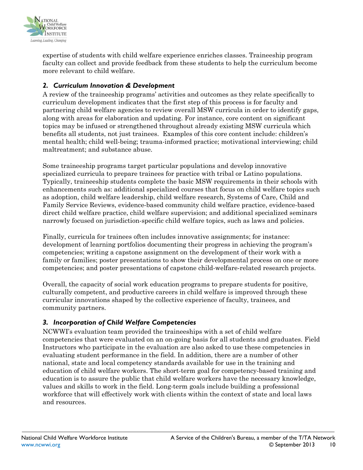

expertise of students with child welfare experience enriches classes. Traineeship program faculty can collect and provide feedback from these students to help the curriculum become more relevant to child welfare.

#### *2. Curriculum Innovation & Development*

A review of the traineeship programs' activities and outcomes as they relate specifically to curriculum development indicates that the first step of this process is for faculty and partnering child welfare agencies to review overall MSW curricula in order to identify gaps, along with areas for elaboration and updating. For instance, core content on significant topics may be infused or strengthened throughout already existing MSW curricula which benefits all students, not just trainees. Examples of this core content include: children's mental health; child well-being; trauma-informed practice; motivational interviewing; child maltreatment; and substance abuse.

Some traineeship programs target particular populations and develop innovative specialized curricula to prepare trainees for practice with tribal or Latino populations. Typically, traineeship students complete the basic MSW requirements in their schools with enhancements such as: additional specialized courses that focus on child welfare topics such as adoption, child welfare leadership, child welfare research, Systems of Care, Child and Family Service Reviews, evidence-based community child welfare practice, evidence-based direct child welfare practice, child welfare supervision; and additional specialized seminars narrowly focused on jurisdiction-specific child welfare topics, such as laws and policies.

Finally, curricula for trainees often includes innovative assignments; for instance: development of learning portfolios documenting their progress in achieving the program's competencies; writing a capstone assignment on the development of their work with a family or families; poster presentations to show their developmental process on one or more competencies; and poster presentations of capstone child-welfare-related research projects.

Overall, the capacity of social work education programs to prepare students for positive, culturally competent, and productive careers in child welfare is improved through these curricular innovations shaped by the collective experience of faculty, trainees, and community partners.

#### *3. Incorporation of Child Welfare Competencies*

NCWWI's evaluation team provided the traineeships with a set of child welfare competencies that were evaluated on an on-going basis for all students and graduates. Field Instructors who participate in the evaluation are also asked to use these competencies in evaluating student performance in the field. In addition, there are a number of other national, state and local competency standards available for use in the training and education of child welfare workers. The short-term goal for competency-based training and education is to assure the public that child welfare workers have the necessary knowledge, values and skills to work in the field. Long-term goals include building a professional workforce that will effectively work with clients within the context of state and local laws and resources.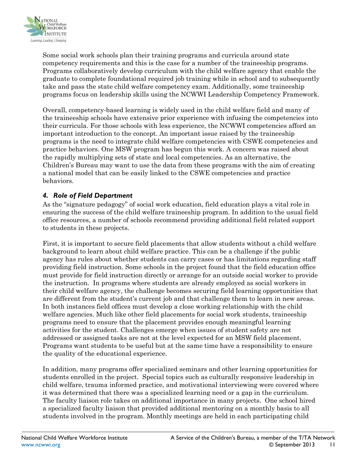

Some social work schools plan their training programs and curricula around state competency requirements and this is the case for a number of the traineeship programs. Programs collaboratively develop curriculum with the child welfare agency that enable the graduate to complete foundational required job training while in school and to subsequently take and pass the state child welfare competency exam. Additionally, some traineeship programs focus on leadership skills using the NCWWI Leadership Competency Framework.

Overall, competency-based learning is widely used in the child welfare field and many of the traineeship schools have extensive prior experience with infusing the competencies into their curricula. For those schools with less experience, the NCWWI competencies afford an important introduction to the concept. An important issue raised by the traineeship programs is the need to integrate child welfare competencies with CSWE competencies and practice behaviors. One MSW program has begun this work. A concern was raised about the rapidly multiplying sets of state and local competencies. As an alternative, the Children's Bureau may want to use the data from these programs with the aim of creating a national model that can be easily linked to the CSWE competencies and practice behaviors.

#### *4. Role of Field Department*

As the "signature pedagogy" of social work education, field education plays a vital role in ensuring the success of the child welfare traineeship program. In addition to the usual field office resources, a number of schools recommend providing additional field related support to students in these projects.

First, it is important to secure field placements that allow students without a child welfare background to learn about child welfare practice. This can be a challenge if the public agency has rules about whether students can carry cases or has limitations regarding staff providing field instruction. Some schools in the project found that the field education office must provide for field instruction directly or arrange for an outside social worker to provide the instruction. In programs where students are already employed as social workers in their child welfare agency, the challenge becomes securing field learning opportunities that are different from the student's current job and that challenge them to learn in new areas. In both instances field offices must develop a close working relationship with the child welfare agencies. Much like other field placements for social work students, traineeship programs need to ensure that the placement provides enough meaningful learning activities for the student. Challenges emerge when issues of student safety are not addressed or assigned tasks are not at the level expected for an MSW field placement. Programs want students to be useful but at the same time have a responsibility to ensure the quality of the educational experience.

In addition, many programs offer specialized seminars and other learning opportunities for students enrolled in the project. Special topics such as culturally responsive leadership in child welfare, trauma informed practice, and motivational interviewing were covered where it was determined that there was a specialized learning need or a gap in the curriculum. The faculty liaison role takes on additional importance in many projects. One school hired a specialized faculty liaison that provided additional mentoring on a monthly basis to all students involved in the program. Monthly meetings are held in each participating child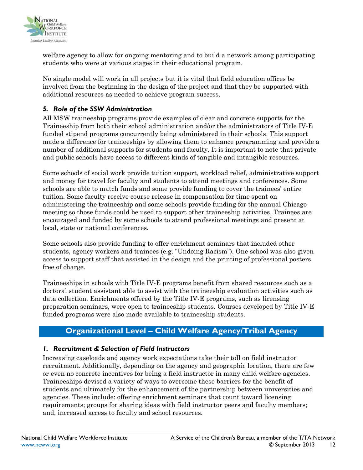

welfare agency to allow for ongoing mentoring and to build a network among participating students who were at various stages in their educational program.

No single model will work in all projects but it is vital that field education offices be involved from the beginning in the design of the project and that they be supported with additional resources as needed to achieve program success.

#### *5. Role of the SSW Administration*

All MSW traineeship programs provide examples of clear and concrete supports for the Traineeship from both their school administration and/or the administrators of Title IV-E funded stipend programs concurrently being administered in their schools. This support made a difference for traineeships by allowing them to enhance programming and provide a number of additional supports for students and faculty. It is important to note that private and public schools have access to different kinds of tangible and intangible resources.

Some schools of social work provide tuition support, workload relief, administrative support and money for travel for faculty and students to attend meetings and conferences. Some schools are able to match funds and some provide funding to cover the trainees' entire tuition. Some faculty receive course release in compensation for time spent on administering the traineeship and some schools provide funding for the annual Chicago meeting so those funds could be used to support other traineeship activities. Trainees are encouraged and funded by some schools to attend professional meetings and present at local, state or national conferences.

Some schools also provide funding to offer enrichment seminars that included other students, agency workers and trainees (e.g. "Undoing Racism"). One school was also given access to support staff that assisted in the design and the printing of professional posters free of charge.

Traineeships in schools with Title IV-E programs benefit from shared resources such as a doctoral student assistant able to assist with the traineeship evaluation activities such as data collection. Enrichments offered by the Title IV-E programs, such as licensing preparation seminars, were open to traineeship students. Courses developed by Title IV-E funded programs were also made available to traineeship students.

#### **Organizational Level – Child Welfare Agency/Tribal Agency**

#### *1. Recruitment & Selection of Field Instructors*

Increasing caseloads and agency work expectations take their toll on field instructor recruitment. Additionally, depending on the agency and geographic location, there are few or even no concrete incentives for being a field instructor in many child welfare agencies. Traineeships devised a variety of ways to overcome these barriers for the benefit of students and ultimately for the enhancement of the partnership between universities and agencies. These include: offering enrichment seminars that count toward licensing requirements; groups for sharing ideas with field instructor peers and faculty members; and, increased access to faculty and school resources.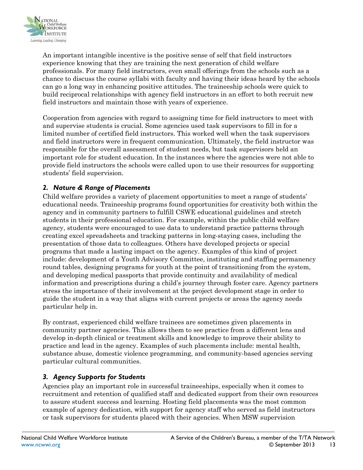

An important intangible incentive is the positive sense of self that field instructors experience knowing that they are training the next generation of child welfare professionals. For many field instructors, even small offerings from the schools such as a chance to discuss the course syllabi with faculty and having their ideas heard by the schools can go a long way in enhancing positive attitudes. The traineeship schools were quick to build reciprocal relationships with agency field instructors in an effort to both recruit new field instructors and maintain those with years of experience.

Cooperation from agencies with regard to assigning time for field instructors to meet with and supervise students is crucial. Some agencies used task supervisors to fill in for a limited number of certified field instructors. This worked well when the task supervisors and field instructors were in frequent communication. Ultimately, the field instructor was responsible for the overall assessment of student needs, but task supervisors held an important role for student education. In the instances where the agencies were not able to provide field instructors the schools were called upon to use their resources for supporting students' field supervision.

#### *2. Nature & Range of Placements*

Child welfare provides a variety of placement opportunities to meet a range of students' educational needs. Traineeship programs found opportunities for creativity both within the agency and in community partners to fulfill CSWE educational guidelines and stretch students in their professional education. For example, within the public child welfare agency, students were encouraged to use data to understand practice patterns through creating excel spreadsheets and tracking patterns in long-staying cases, including the presentation of those data to colleagues. Others have developed projects or special programs that made a lasting impact on the agency. Examples of this kind of project include: development of a Youth Advisory Committee, instituting and staffing permanency round tables, designing programs for youth at the point of transitioning from the system, and developing medical passports that provide continuity and availability of medical information and prescriptions during a child's journey through foster care. Agency partners stress the importance of their involvement at the project development stage in order to guide the student in a way that aligns with current projects or areas the agency needs particular help in.

By contrast, experienced child welfare trainees are sometimes given placements in community partner agencies. This allows them to see practice from a different lens and develop in-depth clinical or treatment skills and knowledge to improve their ability to practice and lead in the agency. Examples of such placements include: mental health, substance abuse, domestic violence programming, and community-based agencies serving particular cultural communities.

#### *3. Agency Supports for Students*

Agencies play an important role in successful traineeships, especially when it comes to recruitment and retention of qualified staff and dedicated support from their own resources to assure student success and learning. Hosting field placements was the most common example of agency dedication, with support for agency staff who served as field instructors or task supervisors for students placed with their agencies. When MSW supervision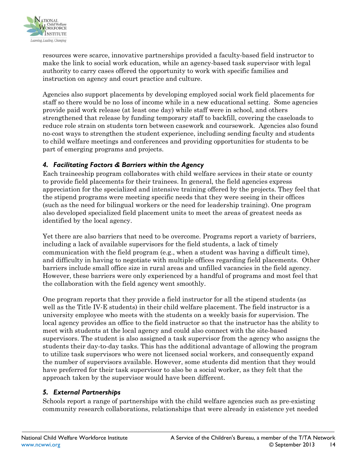

resources were scarce, innovative partnerships provided a faculty-based field instructor to make the link to social work education, while an agency-based task supervisor with legal authority to carry cases offered the opportunity to work with specific families and instruction on agency and court practice and culture.

Agencies also support placements by developing employed social work field placements for staff so there would be no loss of income while in a new educational setting. Some agencies provide paid work release (at least one day) while staff were in school, and others strengthened that release by funding temporary staff to backfill, covering the caseloads to reduce role strain on students torn between casework and coursework. Agencies also found no-cost ways to strengthen the student experience, including sending faculty and students to child welfare meetings and conferences and providing opportunities for students to be part of emerging programs and projects.

#### *4. Facilitating Factors & Barriers within the Agency*

Each traineeship program collaborates with child welfare services in their state or county to provide field placements for their trainees. In general, the field agencies express appreciation for the specialized and intensive training offered by the projects. They feel that the stipend programs were meeting specific needs that they were seeing in their offices (such as the need for bilingual workers or the need for leadership training). One program also developed specialized field placement units to meet the areas of greatest needs as identified by the local agency.

Yet there are also barriers that need to be overcome. Programs report a variety of barriers, including a lack of available supervisors for the field students, a lack of timely communication with the field program (e.g., when a student was having a difficult time), and difficulty in having to negotiate with multiple offices regarding field placements. Other barriers include small office size in rural areas and unfilled vacancies in the field agency. However, these barriers were only experienced by a handful of programs and most feel that the collaboration with the field agency went smoothly.

One program reports that they provide a field instructor for all the stipend students (as well as the Title IV-E students) in their child welfare placement. The field instructor is a university employee who meets with the students on a weekly basis for supervision. The local agency provides an office to the field instructor so that the instructor has the ability to meet with students at the local agency and could also connect with the site-based supervisors. The student is also assigned a task supervisor from the agency who assigns the students their day-to-day tasks. This has the additional advantage of allowing the program to utilize task supervisors who were not licensed social workers, and consequently expand the number of supervisors available. However, some students did mention that they would have preferred for their task supervisor to also be a social worker, as they felt that the approach taken by the supervisor would have been different.

#### *5. External Partnerships*

Schools report a range of partnerships with the child welfare agencies such as pre-existing community research collaborations, relationships that were already in existence yet needed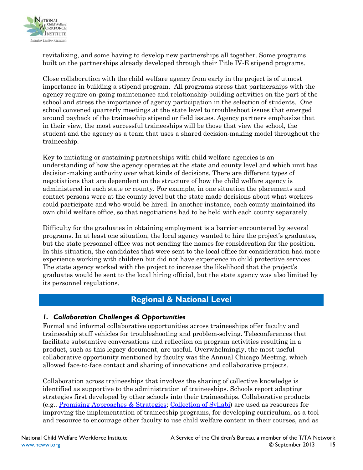

revitalizing, and some having to develop new partnerships all together. Some programs built on the partnerships already developed through their Title IV-E stipend programs.

Close collaboration with the child welfare agency from early in the project is of utmost importance in building a stipend program. All programs stress that partnerships with the agency require on-going maintenance and relationship-building activities on the part of the school and stress the importance of agency participation in the selection of students. One school convened quarterly meetings at the state level to troubleshoot issues that emerged around payback of the traineeship stipend or field issues. Agency partners emphasize that in their view, the most successful traineeships will be those that view the school, the student and the agency as a team that uses a shared decision-making model throughout the traineeship.

Key to initiating or sustaining partnerships with child welfare agencies is an understanding of how the agency operates at the state and county level and which unit has decision-making authority over what kinds of decisions. There are different types of negotiations that are dependent on the structure of how the child welfare agency is administered in each state or county. For example, in one situation the placements and contact persons were at the county level but the state made decisions about what workers could participate and who would be hired. In another instance, each county maintained its own child welfare office, so that negotiations had to be held with each county separately.

Difficulty for the graduates in obtaining employment is a barrier encountered by several programs. In at least one situation, the local agency wanted to hire the project's graduates, but the state personnel office was not sending the names for consideration for the position. In this situation, the candidates that were sent to the local office for consideration had more experience working with children but did not have experience in child protective services. The state agency worked with the project to increase the likelihood that the project's graduates would be sent to the local hiring official, but the state agency was also limited by its personnel regulations.

### **Regional & National Level**

#### *1. Collaboration Challenges & Opportunities*

Formal and informal collaborative opportunities across traineeships offer faculty and traineeship staff vehicles for troubleshooting and problem-solving. Teleconferences that facilitate substantive conversations and reflection on program activities resulting in a product, such as this legacy document, are useful. Overwhelmingly, the most useful collaborative opportunity mentioned by faculty was the Annual Chicago Meeting, which allowed face-to-face contact and sharing of innovations and collaborative projects.

Collaboration across traineeships that involves the sharing of collective knowledge is identified as supportive to the administration of traineeships. Schools report adapting strategies first developed by other schools into their traineeships. Collaborative products (e.g., [Promising Approaches & Strategies;](http://www.ncwwi.org/files/NCWWI_Traineeship_Promising_Approaches_Strategies.pdf) [Collection of Syllabi\)](http://www.ncwwi.org/files/NCWWI_Syllabi_Collection.pdf) are used as resources for improving the implementation of traineeship programs, for developing curriculum, as a tool and resource to encourage other faculty to use child welfare content in their courses, and as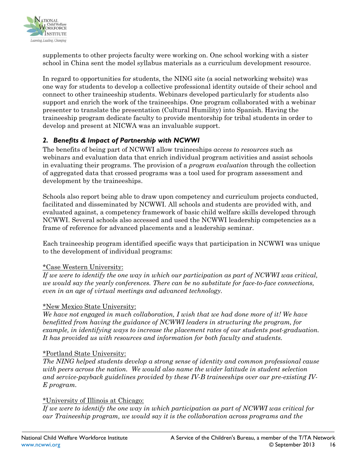

supplements to other projects faculty were working on. One school working with a sister school in China sent the model syllabus materials as a curriculum development resource.

In regard to opportunities for students, the NING site (a social networking website) was one way for students to develop a collective professional identity outside of their school and connect to other traineeship students. Webinars developed particularly for students also support and enrich the work of the traineeships. One program collaborated with a webinar presenter to translate the presentation (Cultural Humility) into Spanish. Having the traineeship program dedicate faculty to provide mentorship for tribal students in order to develop and present at NICWA was an invaluable support.

#### *2. Benefits & Impact of Partnership with NCWWI*

The benefits of being part of NCWWI allow traineeships *access to resources* such as webinars and evaluation data that enrich individual program activities and assist schools in evaluating their programs. The provision of a *program evaluation* through the collection of aggregated data that crossed programs was a tool used for program assessment and development by the traineeships.

Schools also report being able to draw upon competency and curriculum projects conducted, facilitated and disseminated by NCWWI. All schools and students are provided with, and evaluated against, a competency framework of basic child welfare skills developed through NCWWI. Several schools also accessed and used the NCWWI leadership competencies as a frame of reference for advanced placements and a leadership seminar.

Each traineeship program identified specific ways that participation in NCWWI was unique to the development of individual programs:

#### \*Case Western University:

*If we were to identify the one way in which our participation as part of NCWWI was critical, we would say the yearly conferences. There can be no substitute for face-to-face connections, even in an age of virtual meetings and advanced technology.* 

#### \*New Mexico State University:

*We have not engaged in much collaboration, I wish that we had done more of it! We have benefitted from having the guidance of NCWWI leaders in structuring the program, for example, in identifying ways to increase the placement rates of our students post-graduation. It has provided us with resources and information for both faculty and students.*

#### \*Portland State University:

*The NING helped students develop a strong sense of identity and common professional cause with peers across the nation. We would also name the wider latitude in student selection and service-payback guidelines provided by these IV-B traineeships over our pre-existing IV-E program.* 

#### \*University of Illinois at Chicago:

*If we were to identify the one way in which participation as part of NCWWI was critical for our Traineeship program, we would say it is the collaboration across programs and the*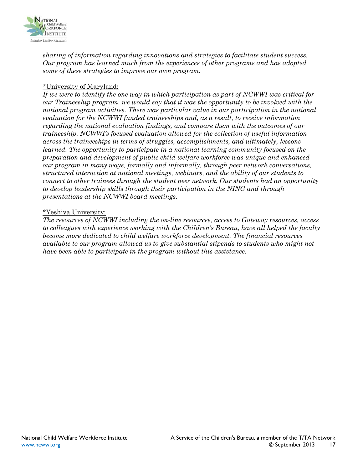

*sharing of information regarding innovations and strategies to facilitate student success. Our program has learned much from the experiences of other programs and has adopted some of these strategies to improve our own program.* 

#### \*University of Maryland:

*If we were to identify the one way in which participation as part of NCWWI was critical for our Traineeship program, we would say that it was the opportunity to be involved with the national program activities. There was particular value in our participation in the national evaluation for the NCWWI funded traineeships and, as a result, to receive information regarding the national evaluation findings, and compare them with the outcomes of our traineeship. NCWWI's focused evaluation allowed for the collection of useful information across the traineeships in terms of struggles, accomplishments, and ultimately, lessons learned. The opportunity to participate in a national learning community focused on the preparation and development of public child welfare workforce was unique and enhanced our program in many ways, formally and informally, through peer network conversations, structured interaction at national meetings, webinars, and the ability of our students to connect to other trainees through the student peer network. Our students had an opportunity to develop leadership skills through their participation in the NING and through presentations at the NCWWI board meetings.*

#### \*Yeshiva University:

*The resources of NCWWI including the on-line resources, access to Gateway resources, access to colleagues with experience working with the Children's Bureau, have all helped the faculty become more dedicated to child welfare workforce development. The financial resources available to our program allowed us to give substantial stipends to students who might not have been able to participate in the program without this assistance.*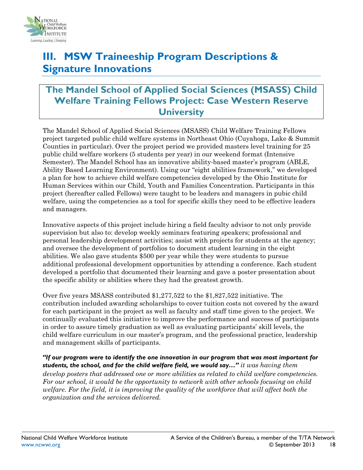

# **III. MSW Traineeship Program Descriptions & Signature Innovations**

### **The Mandel School of Applied Social Sciences (MSASS) Child Welfare Training Fellows Project: Case Western Reserve University**

The Mandel School of Applied Social Sciences (MSASS) Child Welfare Training Fellows project targeted public child welfare systems in Northeast Ohio (Cuyahoga, Lake & Summit Counties in particular). Over the project period we provided masters level training for 25 public child welfare workers (5 students per year) in our weekend format (Intensive Semester). The Mandel School has an innovative ability-based master's program (ABLE, Ability Based Learning Environment). Using our "eight abilities framework," we developed a plan for how to achieve child welfare competencies developed by the Ohio Institute for Human Services within our Child, Youth and Families Concentration. Participants in this project (hereafter called Fellows) were taught to be leaders and managers in pubic child welfare, using the competencies as a tool for specific skills they need to be effective leaders and managers.

Innovative aspects of this project include hiring a field faculty advisor to not only provide supervision but also to: develop weekly seminars featuring speakers; professional and personal leadership development activities; assist with projects for students at the agency; and oversee the development of portfolios to document student learning in the eight abilities. We also gave students \$500 per year while they were students to pursue additional professional development opportunities by attending a conference. Each student developed a portfolio that documented their learning and gave a poster presentation about the specific ability or abilities where they had the greatest growth.

Over five years MSASS contributed \$1,277,522 to the \$1,827,522 initiative. The contribution included awarding scholarships to cover tuition costs not covered by the award for each participant in the project as well as faculty and staff time given to the project. We continually evaluated this initiative to improve the performance and success of participants in order to assure timely graduation as well as evaluating participants' skill levels, the child welfare curriculum in our master's program, and the professional practice, leadership and management skills of participants.

*"If our program were to identify the one innovation in our program that was most important for students, the school, and for the child welfare field, we would say…" it was having them develop posters that addressed one or more abilities as related to child welfare competencies. For our school, it would be the opportunity to network with other schools focusing on child welfare. For the field, it is improving the quality of the workforce that will affect both the organization and the services delivered.*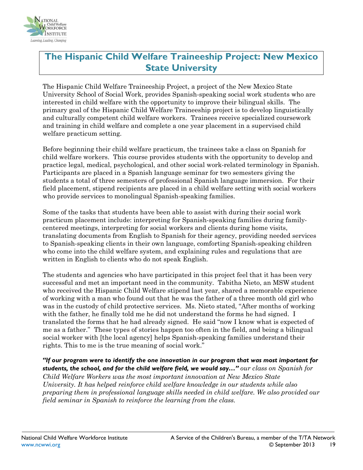

# **The Hispanic Child Welfare Traineeship Project: New Mexico State University**

The Hispanic Child Welfare Traineeship Project, a project of the New Mexico State University School of Social Work, provides Spanish-speaking social work students who are interested in child welfare with the opportunity to improve their bilingual skills. The primary goal of the Hispanic Child Welfare Traineeship project is to develop linguistically and culturally competent child welfare workers. Trainees receive specialized coursework and training in child welfare and complete a one year placement in a supervised child welfare practicum setting.

Before beginning their child welfare practicum, the trainees take a class on Spanish for child welfare workers. This course provides students with the opportunity to develop and practice legal, medical, psychological, and other social work-related terminology in Spanish. Participants are placed in a Spanish language seminar for two semesters giving the students a total of three semesters of professional Spanish language immersion. For their field placement, stipend recipients are placed in a child welfare setting with social workers who provide services to monolingual Spanish-speaking families.

Some of the tasks that students have been able to assist with during their social work practicum placement include: interpreting for Spanish-speaking families during familycentered meetings, interpreting for social workers and clients during home visits, translating documents from English to Spanish for their agency, providing needed services to Spanish-speaking clients in their own language, comforting Spanish-speaking children who come into the child welfare system, and explaining rules and regulations that are written in English to clients who do not speak English.

The students and agencies who have participated in this project feel that it has been very successful and met an important need in the community. Tabitha Nieto, an MSW student who received the Hispanic Child Welfare stipend last year, shared a memorable experience of working with a man who found out that he was the father of a three month old girl who was in the custody of child protective services. Ms. Nieto stated, "After months of working with the father, he finally told me he did not understand the forms he had signed. I translated the forms that he had already signed. He said "now I know what is expected of me as a father." These types of stories happen too often in the field, and being a bilingual social worker with [the local agency] helps Spanish-speaking families understand their rights. This to me is the true meaning of social work."

*"If our program were to identify the one innovation in our program that was most important for students, the school, and for the child welfare field, we would say…" our class on Spanish for Child Welfare Workers was the most important innovation at New Mexico State University. It has helped reinforce child welfare knowledge in our students while also preparing them in professional language skills needed in child welfare. We also provided our field seminar in Spanish to reinforce the learning from the class.*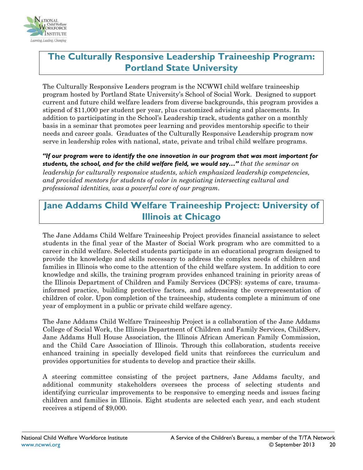

### **The Culturally Responsive Leadership Traineeship Program: Portland State University**

The Culturally Responsive Leaders program is the NCWWI child welfare traineeship program hosted by Portland State University's School of Social Work. Designed to support current and future child welfare leaders from diverse backgrounds, this program provides a stipend of \$11,000 per student per year, plus customized advising and placements. In addition to participating in the School's Leadership track, students gather on a monthly basis in a seminar that promotes peer learning and provides mentorship specific to their needs and career goals. Graduates of the Culturally Responsive Leadership program now serve in leadership roles with national, state, private and tribal child welfare programs.

*"If our program were to identify the one innovation in our program that was most important for students, the school, and for the child welfare field, we would say…" that the seminar on leadership for culturally responsive students, which emphasized leadership competencies, and provided mentors for students of color in negotiating intersecting cultural and professional identities, was a powerful core of our program.*

## **Jane Addams Child Welfare Traineeship Project: University of Illinois at Chicago**

The Jane Addams Child Welfare Traineeship Project provides financial assistance to select students in the final year of the Master of Social Work program who are committed to a career in child welfare. Selected students participate in an educational program designed to provide the knowledge and skills necessary to address the complex needs of children and families in Illinois who come to the attention of the child welfare system. In addition to core knowledge and skills, the training program provides enhanced training in priority areas of the Illinois Department of Children and Family Services (DCFS): systems of care, traumainformed practice, building protective factors, and addressing the overrepresentation of children of color. Upon completion of the traineeship, students complete a minimum of one year of employment in a public or private child welfare agency.

The Jane Addams Child Welfare Traineeship Project is a collaboration of the Jane Addams College of Social Work, the Illinois Department of Children and Family Services, ChildServ, Jane Addams Hull House Association, the Illinois African American Family Commission, and the Child Care Association of Illinois. Through this collaboration, students receive enhanced training in specially developed field units that reinforces the curriculum and provides opportunities for students to develop and practice their skills.

A steering committee consisting of the project partners, Jane Addams faculty, and additional community stakeholders oversees the process of selecting students and identifying curricular improvements to be responsive to emerging needs and issues facing children and families in Illinois. Eight students are selected each year, and each student receives a stipend of \$9,000.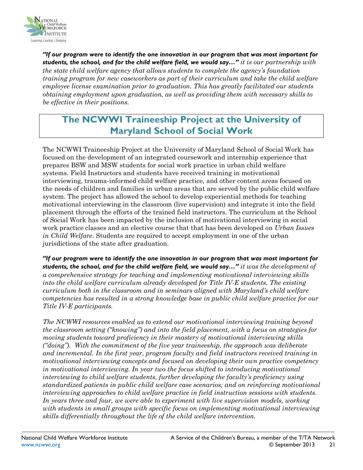

*"If our program were to identify the one innovation in our program that was most important for students, the school, and for the child welfare field, we would say…" it is our partnership with the state child welfare agency that allows students to complete the agency's foundation training program for new caseworkers as part of their curriculum and take the child welfare employee license examination prior to graduation. This has greatly facilitated our students obtaining employment upon graduation, as well as providing them with necessary skills to be effective in their positions.* 

# **The NCWWI Traineeship Project at the University of Maryland School of Social Work**

The NCWWI Traineeship Project at the University of Maryland School of Social Work has focused on the development of an integrated coursework and internship experience that prepares BSW and MSW students for social work practice in urban child welfare systems. Field Instructors and students have received training in motivational interviewing, trauma-informed child welfare practice, and other content areas focused on the needs of children and families in urban areas that are served by the public child welfare system. The project has allowed the school to develop experiential methods for teaching motivational interviewing in the classroom (live supervision) and integrate it into the field placement through the efforts of the trained field instructors. The curriculum at the School of Social Work has been impacted by the inclusion of motivational interviewing in social work practice classes and an elective course that that has been developed on *Urban Issues in Child Welfare*. Students are required to accept employment in one of the urban jurisdictions of the state after graduation.

*"If our program were to identify the one innovation in our program that was most important for students, the school, and for the child welfare field, we would say…" it was the development of a comprehensive strategy for teaching and implementing motivational interviewing skills into the child welfare curriculum already developed for Title IV-E students. The existing curriculum both in the classroom and in seminars aligned with Maryland's child welfare competencies has resulted in a strong knowledge base in public child welfare practice for our Title IV-E participants.* 

*The NCWWI resources enabled us to extend our motivational interviewing training beyond the classroom setting ("knowing") and into the field placement, with a focus on strategies for moving students toward proficiency in their mastery of motivational interviewing skills ("doing"). With the commitment of the five year traineeship, the approach was deliberate and incremental. In the first year, program faculty and field instructors received training in motivational interviewing concepts and focused on developing their own practice competency in motivational interviewing. In year two the focus shifted to introducing motivational interviewing to child welfare students, further developing the faculty's proficiency using standardized patients in public child welfare case scenarios; and on reinforcing motivational interviewing approaches to child welfare practice in field instruction sessions with students.*  In years three and four, we were able to experiment with live supervision models, working *with students in small groups with specific focus on implementing motivational interviewing skills differentially throughout the life of the child welfare intervention.*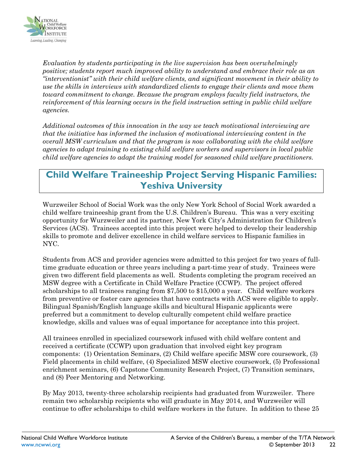

*Evaluation by students participating in the live supervision has been overwhelmingly positive; students report much improved ability to understand and embrace their role as an "interventionist" with their child welfare clients, and significant movement in their ability to use the skills in interviews with standardized clients to engage their clients and move them toward commitment to change. Because the program employs faculty field instructors, the reinforcement of this learning occurs in the field instruction setting in public child welfare agencies.* 

*Additional outcomes of this innovation in the way we teach motivational interviewing are that the initiative has informed the inclusion of motivational interviewing content in the overall MSW curriculum and that the program is now collaborating with the child welfare agencies to adapt training to existing child welfare workers and supervisors in local public child welfare agencies to adapt the training model for seasoned child welfare practitioners.* 

### **Child Welfare Traineeship Project Serving Hispanic Families: Yeshiva University**

Wurzweiler School of Social Work was the only New York School of Social Work awarded a child welfare traineeship grant from the U.S. Children's Bureau. This was a very exciting opportunity for Wurzweiler and its partner, New York City's Administration for Children's Services (ACS). Trainees accepted into this project were helped to develop their leadership skills to promote and deliver excellence in child welfare services to Hispanic families in NYC.

Students from ACS and provider agencies were admitted to this project for two years of fulltime graduate education or three years including a part-time year of study. Trainees were given two different field placements as well. Students completing the program received an MSW degree with a Certificate in Child Welfare Practice (CCWP). The project offered scholarships to all trainees ranging from \$7,500 to \$15,000 a year. Child welfare workers from preventive or foster care agencies that have contracts with ACS were eligible to apply. Bilingual Spanish/English language skills and bicultural Hispanic applicants were preferred but a commitment to develop culturally competent child welfare practice knowledge, skills and values was of equal importance for acceptance into this project.

All trainees enrolled in specialized coursework infused with child welfare content and received a certificate (CCWP) upon graduation that involved eight key program components: (1) Orientation Seminars, (2) Child welfare specific MSW core coursework, (3) Field placements in child welfare, (4) Specialized MSW elective coursework, (5) Professional enrichment seminars, (6) Capstone Community Research Project, (7) Transition seminars, and (8) Peer Mentoring and Networking.

By May 2013, twenty-three scholarship recipients had graduated from Wurzweiler. There remain two scholarship recipients who will graduate in May 2014, and Wurzweiler will continue to offer scholarships to child welfare workers in the future. In addition to these 25